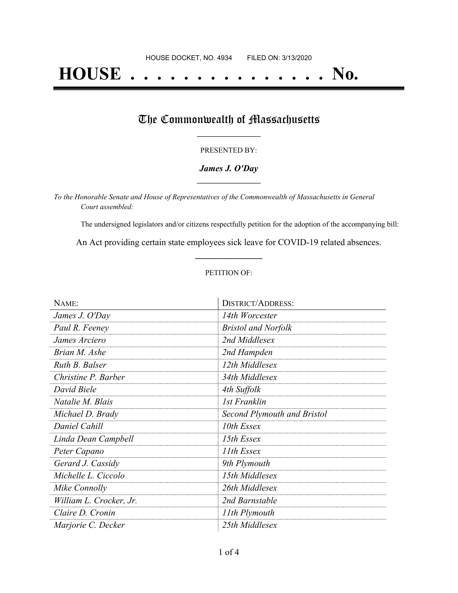# **HOUSE . . . . . . . . . . . . . . . No.**

### The Commonwealth of Massachusetts

#### PRESENTED BY:

#### *James J. O'Day* **\_\_\_\_\_\_\_\_\_\_\_\_\_\_\_\_\_**

*To the Honorable Senate and House of Representatives of the Commonwealth of Massachusetts in General Court assembled:*

The undersigned legislators and/or citizens respectfully petition for the adoption of the accompanying bill:

An Act providing certain state employees sick leave for COVID-19 related absences. **\_\_\_\_\_\_\_\_\_\_\_\_\_\_\_**

#### PETITION OF:

| NAME:                   | <b>DISTRICT/ADDRESS:</b>    |
|-------------------------|-----------------------------|
| James J. O'Day          | 14th Worcester              |
| Paul R. Feeney          | <b>Bristol and Norfolk</b>  |
| James Arciero           | 2nd Middlesex               |
| Brian M. Ashe           | 2nd Hampden                 |
| Ruth B. Balser          | 12th Middlesex              |
| Christine P. Barber     | 34th Middlesex              |
| David Biele             | 4th Suffolk                 |
| Natalie M. Blais        | 1st Franklin                |
| Michael D. Brady        | Second Plymouth and Bristol |
| Daniel Cahill           | 10th Essex                  |
| Linda Dean Campbell     | 15th Essex                  |
| Peter Capano            | 11th Essex                  |
| Gerard J. Cassidy       | 9th Plymouth                |
| Michelle L. Ciccolo     | 15th Middlesex              |
| Mike Connolly           | 26th Middlesex              |
| William L. Crocker, Jr. | 2nd Barnstable              |
| Claire D. Cronin        | 11th Plymouth               |
| Marjorie C. Decker      | 25th Middlesex              |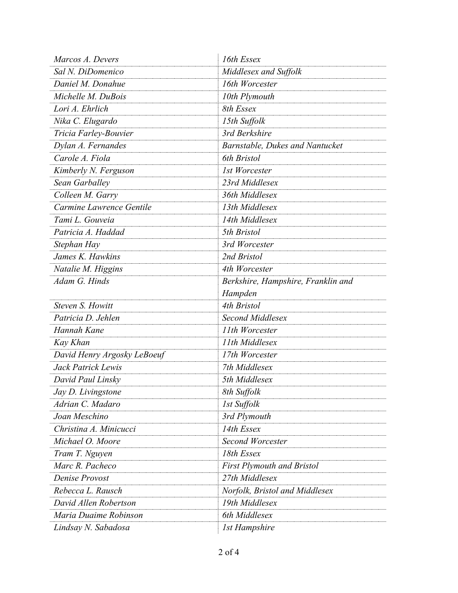| Marcos A. Devers            | 16th Essex                             |
|-----------------------------|----------------------------------------|
| Sal N. DiDomenico           | Middlesex and Suffolk                  |
| Daniel M. Donahue           | 16th Worcester                         |
| Michelle M. DuBois          | 10th Plymouth                          |
| Lori A. Ehrlich             | 8th Essex                              |
| Nika C. Elugardo            | 15th Suffolk                           |
| Tricia Farley-Bouvier       | 3rd Berkshire                          |
| Dylan A. Fernandes          | <b>Barnstable, Dukes and Nantucket</b> |
| Carole A. Fiola             | 6th Bristol                            |
| Kimberly N. Ferguson        | 1st Worcester                          |
| Sean Garballey              | 23rd Middlesex                         |
| Colleen M. Garry            | 36th Middlesex                         |
| Carmine Lawrence Gentile    | 13th Middlesex                         |
| Tami L. Gouveia             | 14th Middlesex                         |
| Patricia A. Haddad          | 5th Bristol                            |
| Stephan Hay                 | 3rd Worcester                          |
| James K. Hawkins            | 2nd Bristol                            |
| Natalie M. Higgins          | 4th Worcester                          |
| Adam G. Hinds               | Berkshire, Hampshire, Franklin and     |
|                             | Hampden                                |
| Steven S. Howitt            | 4th Bristol                            |
| Patricia D. Jehlen          | <b>Second Middlesex</b>                |
| Hannah Kane                 | 11th Worcester                         |
| Kay Khan                    | 11th Middlesex                         |
| David Henry Argosky LeBoeuf | 17th Worcester                         |
| Jack Patrick Lewis          | 7th Middlesex                          |
| David Paul Linsky           | 5th Middlesex                          |
| Jay D. Livingstone          | 8th Suffolk                            |
| Adrian C. Madaro            | 1st Suffolk                            |
| Joan Meschino               | 3rd Plymouth                           |
| Christina A. Minicucci      | 14th Essex                             |
| Michael O. Moore            | <b>Second Worcester</b>                |
| Tram T. Nguyen              | 18th Essex                             |
| Marc R. Pacheco             | <b>First Plymouth and Bristol</b>      |
| Denise Provost              | 27th Middlesex                         |
| Rebecca L. Rausch           | Norfolk, Bristol and Middlesex         |
| David Allen Robertson       | 19th Middlesex                         |
| Maria Duaime Robinson       | 6th Middlesex                          |
| Lindsay N. Sabadosa         | 1st Hampshire                          |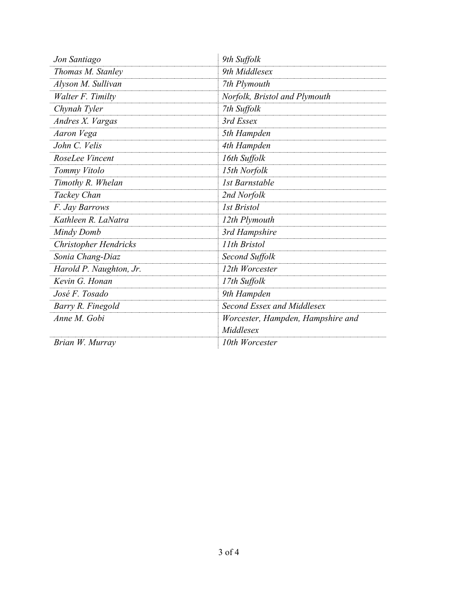| Jon Santiago                 | 9th Suffolk                       |
|------------------------------|-----------------------------------|
| Thomas M. Stanley            | 9th Middlesex                     |
| Alyson M. Sullivan           | 7th Plymouth                      |
| Walter F. Timilty            | Norfolk, Bristol and Plymouth     |
| Chynah Tyler                 | 7th Suffolk                       |
| Andres X. Vargas             | 3rd Essex                         |
| Aaron Vega                   | 5th Hampden                       |
| John C. Velis                | 4th Hampden                       |
| RoseLee Vincent              | 16th Suffolk                      |
| Tommy Vitolo                 | 15th Norfolk                      |
| Timothy R. Whelan            | <b>1st Barnstable</b>             |
| Tackey Chan                  | 2nd Norfolk                       |
| F. Jay Barrows               | <b>Ist Bristol</b>                |
| Kathleen R. LaNatra          | 12th Plymouth                     |
| Mindy Domb                   | 3rd Hampshire                     |
| <b>Christopher Hendricks</b> | 11th Bristol                      |
| Sonia Chang-Diaz             | Second Suffolk                    |
| Harold P. Naughton, Jr.      | 12th Worcester                    |
| Kevin G. Honan               | 17th Suffolk                      |
| José F. Tosado               | 9th Hampden                       |
| Barry R. Finegold            | Second Essex and Middlesex        |
| Anne M. Gobi                 | Worcester, Hampden, Hampshire and |
|                              | Middlesex                         |
| Brian W. Murray              | 10th Worcester                    |